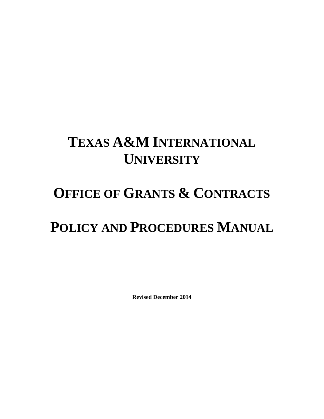# **TEXAS A&M INTERNATIONAL UNIVERSITY**

## **OFFICE OF GRANTS & CONTRACTS**

## **POLICY AND PROCEDURES MANUAL**

**Revised December 2014**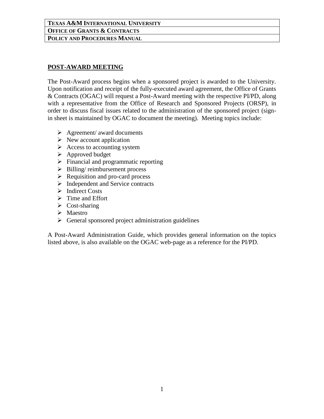## **POST-AWARD MEETING**

The Post-Award process begins when a sponsored project is awarded to the University. Upon notification and receipt of the fully-executed award agreement, the Office of Grants & Contracts (OGAC) will request a Post-Award meeting with the respective PI/PD, along with a representative from the Office of Research and Sponsored Projects (ORSP), in order to discuss fiscal issues related to the administration of the sponsored project (signin sheet is maintained by OGAC to document the meeting). Meeting topics include:

- $\triangleright$  Agreement/ award documents
- $\triangleright$  New account application
- $\triangleright$  Access to accounting system
- $\triangleright$  Approved budget
- $\triangleright$  Financial and programmatic reporting
- $\triangleright$  Billing/ reimbursement process
- $\triangleright$  Requisition and pro-card process
- $\triangleright$  Independent and Service contracts
- $\triangleright$  Indirect Costs
- $\triangleright$  Time and Effort
- $\triangleright$  Cost-sharing
- $\triangleright$  Maestro
- $\triangleright$  General sponsored project administration guidelines

A Post-Award Administration Guide, which provides general information on the topics listed above, is also available on the OGAC web-page as a reference for the PI/PD.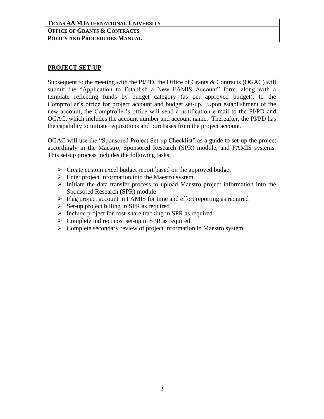#### **PROJECT SET-UP**

Subsequent to the meeting with the PI/PD, the Office of Grants & Contracts (OGAC) will submit the "Application to Establish a New FAMIS Account" form, along with a template reflecting funds by budget category (as per approved budget), to the Comptroller's office for project account and budget set-up. Upon establishment of the new account, the Comptroller's office will send a notification e-mail to the PI/PD and OGAC, which includes the account number and account name. Thereafter, the PI/PD has the capability to initiate requisitions and purchases from the project account.

OGAC will use the "Sponsored Project Set-up Checklist" as a guide to set-up the project accordingly in the Maestro, Sponsored Research (SPR) module, and FAMIS systems. This set-up process includes the following tasks:

- $\triangleright$  Create custom excel budget report based on the approved budget
- $\triangleright$  Enter project information into the Maestro system
- $\triangleright$  Initiate the data transfer process to upload Maestro project information into the Sponsored Research (SPR) module
- $\triangleright$  Flag project account in FAMIS for time and effort reporting as required
- $\triangleright$  Set-up project billing in SPR as required
- $\triangleright$  Include project for cost-share tracking in SPR as required
- $\triangleright$  Complete indirect cost set-up in SPR as required
- $\triangleright$  Complete secondary review of project information in Maestro system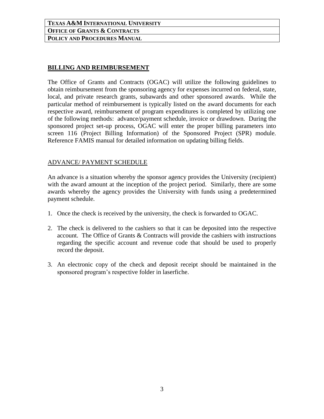### **BILLING AND REIMBURSEMENT**

The Office of Grants and Contracts (OGAC) will utilize the following guidelines to obtain reimbursement from the sponsoring agency for expenses incurred on federal, state, local, and private research grants, subawards and other sponsored awards. While the particular method of reimbursement is typically listed on the award documents for each respective award, reimbursement of program expenditures is completed by utilizing one of the following methods: advance/payment schedule, invoice or drawdown. During the sponsored project set-up process, OGAC will enter the proper billing parameters into screen 116 (Project Billing Information) of the Sponsored Project (SPR) module. Reference FAMIS manual for detailed information on updating billing fields.

#### ADVANCE/ PAYMENT SCHEDULE

An advance is a situation whereby the sponsor agency provides the University (recipient) with the award amount at the inception of the project period. Similarly, there are some awards whereby the agency provides the University with funds using a predetermined payment schedule.

- 1. Once the check is received by the university, the check is forwarded to OGAC.
- 2. The check is delivered to the cashiers so that it can be deposited into the respective account. The Office of Grants & Contracts will provide the cashiers with instructions regarding the specific account and revenue code that should be used to properly record the deposit.
- 3. An electronic copy of the check and deposit receipt should be maintained in the sponsored program's respective folder in laserfiche.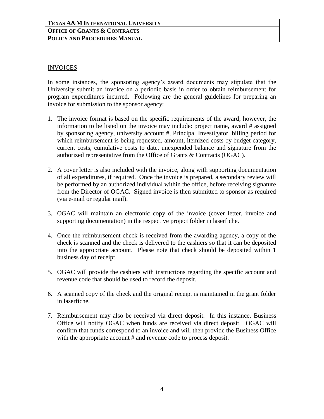#### INVOICES

In some instances, the sponsoring agency's award documents may stipulate that the University submit an invoice on a periodic basis in order to obtain reimbursement for program expenditures incurred. Following are the general guidelines for preparing an invoice for submission to the sponsor agency:

- 1. The invoice format is based on the specific requirements of the award; however, the information to be listed on the invoice may include: project name, award # assigned by sponsoring agency, university account #, Principal Investigator, billing period for which reimbursement is being requested, amount, itemized costs by budget category, current costs, cumulative costs to date, unexpended balance and signature from the authorized representative from the Office of Grants & Contracts (OGAC).
- 2. A cover letter is also included with the invoice, along with supporting documentation of all expenditures, if required. Once the invoice is prepared, a secondary review will be performed by an authorized individual within the office, before receiving signature from the Director of OGAC. Signed invoice is then submitted to sponsor as required (via e-mail or regular mail).
- 3. OGAC will maintain an electronic copy of the invoice (cover letter, invoice and supporting documentation) in the respective project folder in laserfiche.
- 4. Once the reimbursement check is received from the awarding agency, a copy of the check is scanned and the check is delivered to the cashiers so that it can be deposited into the appropriate account. Please note that check should be deposited within 1 business day of receipt.
- 5. OGAC will provide the cashiers with instructions regarding the specific account and revenue code that should be used to record the deposit.
- 6. A scanned copy of the check and the original receipt is maintained in the grant folder in laserfiche.
- 7. Reimbursement may also be received via direct deposit. In this instance, Business Office will notify OGAC when funds are received via direct deposit. OGAC will confirm that funds correspond to an invoice and will then provide the Business Office with the appropriate account # and revenue code to process deposit.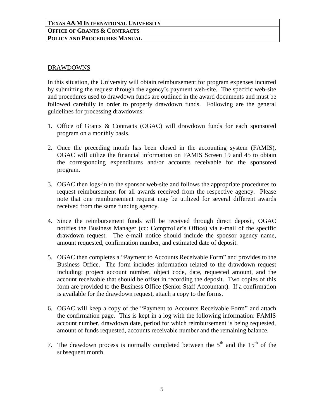#### DRAWDOWNS

In this situation, the University will obtain reimbursement for program expenses incurred by submitting the request through the agency's payment web-site. The specific web-site and procedures used to drawdown funds are outlined in the award documents and must be followed carefully in order to properly drawdown funds. Following are the general guidelines for processing drawdowns:

- 1. Office of Grants & Contracts (OGAC) will drawdown funds for each sponsored program on a monthly basis.
- 2. Once the preceding month has been closed in the accounting system (FAMIS), OGAC will utilize the financial information on FAMIS Screen 19 and 45 to obtain the corresponding expenditures and/or accounts receivable for the sponsored program.
- 3. OGAC then logs-in to the sponsor web-site and follows the appropriate procedures to request reimbursement for all awards received from the respective agency. Please note that one reimbursement request may be utilized for several different awards received from the same funding agency.
- 4. Since the reimbursement funds will be received through direct deposit, OGAC notifies the Business Manager (cc: Comptroller's Office) via e-mail of the specific drawdown request. The e-mail notice should include the sponsor agency name, amount requested, confirmation number, and estimated date of deposit.
- 5. OGAC then completes a "Payment to Accounts Receivable Form" and provides to the Business Office. The form includes information related to the drawdown request including: project account number, object code, date, requested amount, and the account receivable that should be offset in recording the deposit. Two copies of this form are provided to the Business Office (Senior Staff Accountant). If a confirmation is available for the drawdown request, attach a copy to the forms.
- 6. OGAC will keep a copy of the "Payment to Accounts Receivable Form" and attach the confirmation page. This is kept in a log with the following information: FAMIS account number, drawdown date, period for which reimbursement is being requested, amount of funds requested, accounts receivable number and the remaining balance.
- 7. The drawdown process is normally completed between the  $5<sup>th</sup>$  and the  $15<sup>th</sup>$  of the subsequent month.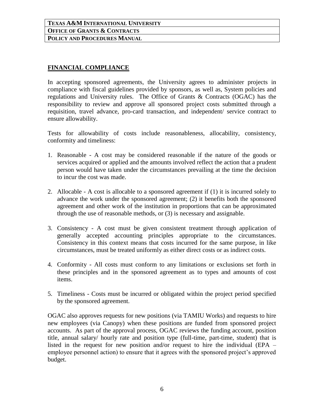## **FINANCIAL COMPLIANCE**

In accepting sponsored agreements, the University agrees to administer projects in compliance with fiscal guidelines provided by sponsors, as well as, System policies and regulations and University rules. The Office of Grants & Contracts (OGAC) has the responsibility to review and approve all sponsored project costs submitted through a requisition, travel advance, pro-card transaction, and independent/ service contract to ensure allowability.

Tests for allowability of costs include reasonableness, allocability, consistency, conformity and timeliness:

- 1. Reasonable A cost may be considered reasonable if the nature of the goods or services acquired or applied and the amounts involved reflect the action that a prudent person would have taken under the circumstances prevailing at the time the decision to incur the cost was made.
- 2. Allocable A cost is allocable to a sponsored agreement if (1) it is incurred solely to advance the work under the sponsored agreement; (2) it benefits both the sponsored agreement and other work of the institution in proportions that can be approximated through the use of reasonable methods, or (3) is necessary and assignable.
- 3. Consistency A cost must be given consistent treatment through application of generally accepted accounting principles appropriate to the circumstances. Consistency in this context means that costs incurred for the same purpose, in like circumstances, must be treated uniformly as either direct costs or as indirect costs.
- 4. Conformity All costs must conform to any limitations or exclusions set forth in these principles and in the sponsored agreement as to types and amounts of cost items.
- 5. Timeliness Costs must be incurred or obligated within the project period specified by the sponsored agreement.

OGAC also approves requests for new positions (via TAMIU Works) and requests to hire new employees (via Canopy) when these positions are funded from sponsored project accounts. As part of the approval process, OGAC reviews the funding account, position title, annual salary/ hourly rate and position type (full-time, part-time, student) that is listed in the request for new position and/or request to hire the individual (EPA – employee personnel action) to ensure that it agrees with the sponsored project's approved budget.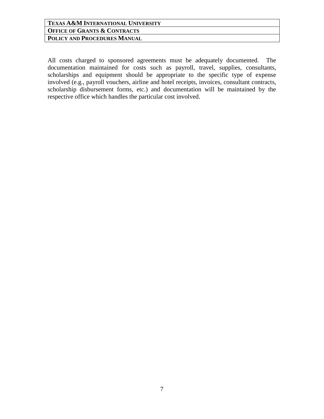All costs charged to sponsored agreements must be adequately documented. The documentation maintained for costs such as payroll, travel, supplies, consultants, scholarships and equipment should be appropriate to the specific type of expense involved (e.g., payroll vouchers, airline and hotel receipts, invoices, consultant contracts, scholarship disbursement forms, etc.) and documentation will be maintained by the respective office which handles the particular cost involved.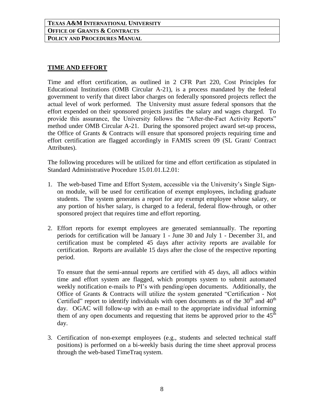#### **TIME AND EFFORT**

Time and effort certification, as outlined in 2 CFR Part 220, Cost Principles for Educational Institutions (OMB Circular A-21), is a process mandated by the federal government to verify that direct labor charges on federally sponsored projects reflect the actual level of work performed. The University must assure federal sponsors that the effort expended on their sponsored projects justifies the salary and wages charged. To provide this assurance, the University follows the "After-the-Fact Activity Reports" method under OMB Circular A-21. During the sponsored project award set-up process, the Office of Grants & Contracts will ensure that sponsored projects requiring time and effort certification are flagged accordingly in FAMIS screen 09 (SL Grant/ Contract Attributes).

The following procedures will be utilized for time and effort certification as stipulated in Standard Administrative Procedure 15.01.01.L2.01:

- 1. The web-based Time and Effort System, accessible via the University's Single Signon module, will be used for certification of exempt employees, including graduate students. The system generates a report for any exempt employee whose salary, or any portion of his/her salary, is charged to a federal, federal flow-through, or other sponsored project that requires time and effort reporting.
- 2. Effort reports for exempt employees are generated semiannually. The reporting periods for certification will be January 1 - June 30 and July 1 - December 31, and certification must be completed 45 days after activity reports are available for certification. Reports are available 15 days after the close of the respective reporting period.

To ensure that the semi-annual reports are certified with 45 days, all adlocs within time and effort system are flagged, which prompts system to submit automated weekly notification e-mails to PI's with pending/open documents. Additionally, the Office of Grants & Contracts will utilize the system generated "Certification - Not Certified" report to identify individuals with open documents as of the  $30<sup>th</sup>$  and  $40<sup>th</sup>$ day. OGAC will follow-up with an e-mail to the appropriate individual informing them of any open documents and requesting that items be approved prior to the  $45<sup>th</sup>$ day.

3. Certification of non-exempt employees (e.g., students and selected technical staff positions) is performed on a bi-weekly basis during the time sheet approval process through the web-based TimeTraq system.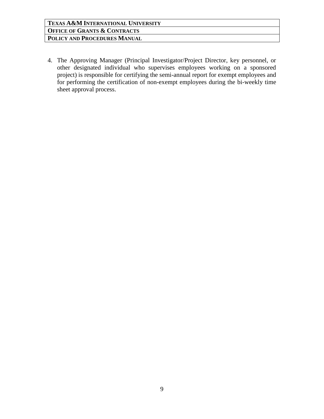4. The Approving Manager (Principal Investigator/Project Director, key personnel, or other designated individual who supervises employees working on a sponsored project) is responsible for certifying the semi-annual report for exempt employees and for performing the certification of non-exempt employees during the bi-weekly time sheet approval process.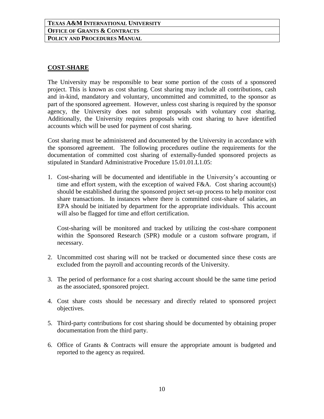#### **COST-SHARE**

The University may be responsible to bear some portion of the costs of a sponsored project. This is known as cost sharing. Cost sharing may include all contributions, cash and in-kind, mandatory and voluntary, uncommitted and committed, to the sponsor as part of the sponsored agreement. However, unless cost sharing is required by the sponsor agency, the University does not submit proposals with voluntary cost sharing. Additionally, the University requires proposals with cost sharing to have identified accounts which will be used for payment of cost sharing.

Cost sharing must be administered and documented by the University in accordance with the sponsored agreement. The following procedures outline the requirements for the documentation of committed cost sharing of externally-funded sponsored projects as stipulated in Standard Administrative Procedure 15.01.01.L1.05:

1. Cost-sharing will be documented and identifiable in the University's accounting or time and effort system, with the exception of waived F&A. Cost sharing account(s) should be established during the sponsored project set-up process to help monitor cost share transactions. In instances where there is committed cost-share of salaries, an EPA should be initiated by department for the appropriate individuals. This account will also be flagged for time and effort certification.

Cost-sharing will be monitored and tracked by utilizing the cost-share component within the Sponsored Research (SPR) module or a custom software program, if necessary.

- 2. Uncommitted cost sharing will not be tracked or documented since these costs are excluded from the payroll and accounting records of the University.
- 3. The period of performance for a cost sharing account should be the same time period as the associated, sponsored project.
- 4. Cost share costs should be necessary and directly related to sponsored project objectives.
- 5. Third-party contributions for cost sharing should be documented by obtaining proper documentation from the third party.
- 6. Office of Grants & Contracts will ensure the appropriate amount is budgeted and reported to the agency as required.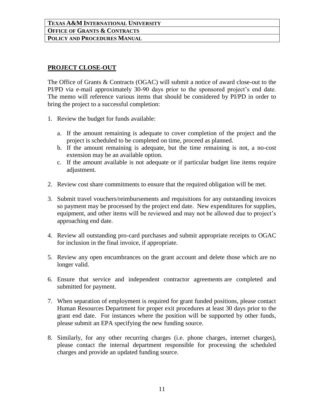### **PROJECT CLOSE-OUT**

The Office of Grants & Contracts (OGAC) will submit a notice of award close-out to the PI/PD via e-mail approximately 30-90 days prior to the sponsored project's end date. The memo will reference various items that should be considered by PI/PD in order to bring the project to a successful completion:

- 1. Review the budget for funds available:
	- a. If the amount remaining is adequate to cover completion of the project and the project is scheduled to be completed on time, proceed as planned.
	- b. If the amount remaining is adequate, but the time remaining is not, a no-cost extension may be an available option.
	- c. If the amount available is not adequate or if particular budget line items require adjustment.
- 2. Review cost share commitments to ensure that the required obligation will be met.
- 3. Submit travel vouchers/reimbursements and requisitions for any outstanding invoices so payment may be processed by the project end date. New expenditures for supplies, equipment, and other items will be reviewed and may not be allowed due to project's approaching end date.
- 4. Review all outstanding pro-card purchases and submit appropriate receipts to OGAC for inclusion in the final invoice, if appropriate.
- 5. Review any open encumbrances on the grant account and delete those which are no longer valid.
- 6. Ensure that service and independent contractor agreements are completed and submitted for payment.
- 7. When separation of employment is required for grant funded positions, please contact Human Resources Department for proper exit procedures at least 30 days prior to the grant end date. For instances where the position will be supported by other funds, please submit an EPA specifying the new funding source.
- 8. Similarly, for any other recurring charges (i.e. phone charges, internet charges), please contact the internal department responsible for processing the scheduled charges and provide an updated funding source.